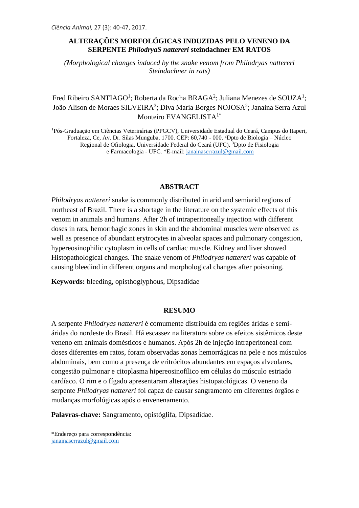## **ALTERAÇÕES MORFOLÓGICAS INDUZIDAS PELO VENENO DA SERPENTE** *PhilodryaS nattereri* **steindachner EM RATOS**

*(Morphological changes induced by the snake venom from Philodryas nattereri Steindachner in rats)*

# Fred Ribeiro SANTIAGO<sup>1</sup>; Roberta da Rocha BRAGA<sup>2</sup>; Juliana Menezes de SOUZA<sup>1</sup>; João Alison de Moraes SILVEIRA<sup>3</sup>; Diva Maria Borges NOJOSA<sup>2</sup>; Janaina Serra Azul Monteiro EVANGELISTA<sup>1\*</sup>

<sup>1</sup>Pós-Graduação em Ciências Veterinárias (PPGCV), Universidade Estadual do Ceará, Campus do Itaperi, Fortaleza, Ce, Av. Dr. Silas Munguba, 1700. CEP: 60,740 - 000. <sup>2</sup>Dpto de Biologia – Núcleo Regional de Ofiologia, Universidade Federal do Ceará (UFC). <sup>3</sup>Dpto de Fisiologia e Farmacologia - UFC. \*E-mail: [janainaserrazul@gmail.com](mailto:janainaserrazul@gmail.com)

#### **ABSTRACT**

*Philodryas nattereri* snake is commonly distributed in arid and semiarid regions of northeast of Brazil. There is a shortage in the literature on the systemic effects of this venom in animals and humans. After 2h of intraperitoneally injection with different doses in rats, hemorrhagic zones in skin and the abdominal muscles were observed as well as presence of abundant erytrocytes in alveolar spaces and pulmonary congestion, hypereosinophilic cytoplasm in cells of cardiac muscle. Kidney and liver showed Histopathological changes. The snake venom of *Philodryas nattereri* was capable of causing bleedind in different organs and morphological changes after poisoning.

**Keywords:** bleeding, opisthoglyphous, Dipsadidae

#### **RESUMO**

A serpente *Philodryas nattereri* é comumente distribuída em regiões áridas e semiáridas do nordeste do Brasil. Há escassez na literatura sobre os efeitos sistêmicos deste veneno em animais domésticos e humanos. Após 2h de injeção intraperitoneal com doses diferentes em ratos, foram observadas zonas hemorrágicas na pele e nos músculos abdominais, bem como a presença de eritrócitos abundantes em espaços alveolares, congestão pulmonar e citoplasma hipereosinofílico em células do músculo estriado cardíaco. O rim e o fígado apresentaram alterações histopatológicas. O veneno da serpente *Philodryas nattereri* foi capaz de causar sangramento em diferentes órgãos e mudanças morfológicas após o envenenamento.

**Palavras-chave:** Sangramento, opistóglifa, Dipsadidae.

<sup>\*</sup>Endereço para correspondência:

[janainaserrazul@gmail.com](mailto:janainaserrazul@gmail.com)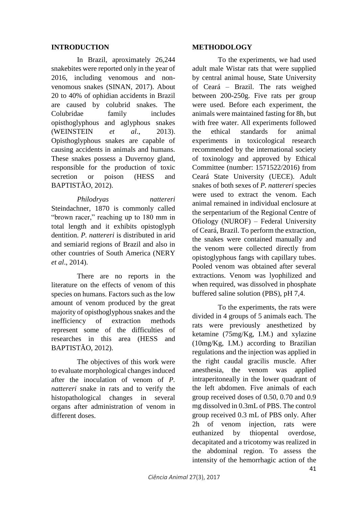# **INTRODUCTION**

In Brazil, aproximately 26,244 snakebites were reported only in the year of 2016, including venomous and nonvenomous snakes (SINAN, 2017). About 20 to 40% of ophidian accidents in Brazil are caused by colubrid snakes. The Colubridae family includes opisthoglyphous and aglyphous snakes (WEINSTEIN *et al*., 2013). Opisthoglyphous snakes are capable of causing accidents in animals and humans. These snakes possess a Duvernoy gland, responsible for the production of toxic secretion or poison (HESS and BAPTISTÃO, 2012).

*Philodryas nattereri* Steindachner, 1870 is commonly called "brown racer," reaching up to 180 mm in total length and it exhibits opistoglyph dentition. *P. nattereri* is distributed in arid and semiarid regions of Brazil and also in other countries of South America (NERY *et al*., 2014).

There are no reports in the literature on the effects of venom of this species on humans. Factors such as the low amount of venom produced by the great majority of opisthoglyphous snakes and the inefficiency of extraction methods represent some of the difficulties of researches in this area (HESS and BAPTISTÃO, 2012).

The objectives of this work were to evaluate morphological changes induced after the inoculation of venom of *P. nattereri* snake in rats and to verify the histopathological changes in several organs after administration of venom in different doses.

## **METHODOLOGY**

To the experiments, we had used adult male Wistar rats that were supplied by central animal house, State University of Ceará – Brazil. The rats weighed between 200-250g. Five rats per group were used. Before each experiment, the animals were maintained fasting for 8h, but with free water. All experiments followed the ethical standards for animal experiments in toxicological research recommended by the international society of toxinology and approved by Ethical Committee (number: 1571522/2016) from Ceará State University (UECE). Adult snakes of both sexes of *P. nattereri* species were used to extract the venom. Each animal remained in individual enclosure at the serpentarium of the Regional Centre of Ofiology (NUROF) – Federal University of Ceará, Brazil. To perform the extraction, the snakes were contained manually and the venom were collected directly from opistoglyphous fangs with capillary tubes. Pooled venom was obtained after several extractions. Venom was lyophilized and when required, was dissolved in phosphate buffered saline solution (PBS), pH 7,4.

To the experiments, the rats were divided in 4 groups of 5 animals each. The rats were previously anesthetized by ketamine (75mg/Kg, I.M.) and xylazine (10mg/Kg, I.M.) according to Brazilian regulations and the injection was applied in the right caudal gracilis muscle. After anesthesia, the venom was applied intraperitoneally in the lower quadrant of the left abdomen. Five animals of each group received doses of 0.50, 0.70 and 0.9 mg dissolved in 0.3mL of PBS. The control group received 0.3 mL of PBS only. After 2h of venom injection, rats were euthanized by thiopental overdose, decapitated and a tricotomy was realized in the abdominal region. To assess the intensity of the hemorrhagic action of the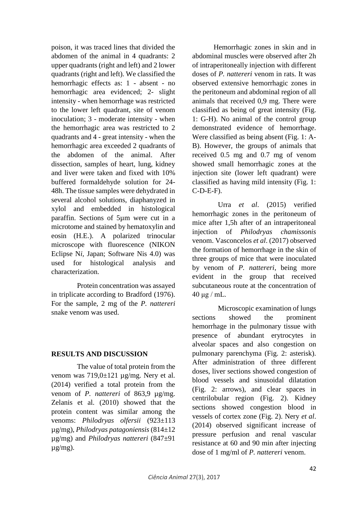poison, it was traced lines that divided the abdomen of the animal in 4 quadrants: 2 upper quadrants (right and left) and 2 lower quadrants (right and left). We classified the hemorrhagic effects as: 1 - absent - no hemorrhagic area evidenced; 2- slight intensity - when hemorrhage was restricted to the lower left quadrant, site of venom inoculation; 3 - moderate intensity - when the hemorrhagic area was restricted to 2 quadrants and 4 - great intensity - when the hemorrhagic area exceeded 2 quadrants of the abdomen of the animal. After dissection, samples of heart, lung, kidney and liver were taken and fixed with 10% buffered formaldehyde solution for 24- 48h. The tissue samples were dehydrated in several alcohol solutions, diaphanyzed in xylol and embedded in histological paraffin. Sections of 5µm were cut in a microtome and stained by hematoxylin and eosin (H.E.). A polarized trinocular microscope with fluorescence (NIKON Eclipse N*i,* Japan; Software Nis 4.0) was used for histological analysis and characterization.

Protein concentration was assayed in triplicate according to Bradford (1976). For the sample, 2 mg of the *P. nattereri* snake venom was used.

## **RESULTS AND DISCUSSION**

The value of total protein from the venom was  $719,0\pm121$   $\mu$ g/mg. Nery et al. (2014) verified a total protein from the venom of *P. nattereri* of 863,9 µg/mg. Zelanis et al. (2010) showed that the protein content was similar among the venoms: *Philodryas olfersii* (923±113 µg/mg), *Philodryas patagoniensis* (814±12 µg/mg) and *Philodryas nattereri* (847±91 µg/mg).

Hemorrhagic zones in skin and in abdominal muscles were observed after 2h of intraperitoneally injection with different doses of *P. nattereri* venom in rats. It was observed extensive hemorrhagic zones in the peritoneum and abdominal region of all animals that received 0,9 mg. There were classified as being of great intensity (Fig. 1: G-H). No animal of the control group demonstrated evidence of hemorrhage. Were classified as being absent (Fig. 1: A-B). However, the groups of animals that received 0.5 mg and 0.7 mg of venom showed small hemorrhagic zones at the injection site (lower left quadrant) were classified as having mild intensity (Fig. 1: C-D-E-F).

Urra *et al*. (2015) verified hemorrhagic zones in the peritoneum of mice after 1,5h after of an intraperitoneal injection of *Philodryas chamissonis* venom. Vasconcelos *et al*. (2017) observed the formation of hemorrhage in the skin of three groups of mice that were inoculated by venom of *P. nattereri*, being more evident in the group that received subcutaneous route at the concentration of  $40 \mu g$  / mL.

Microscopic examination of lungs sections showed the prominent hemorrhage in the pulmonary tissue with presence of abundant erytrocytes in alveolar spaces and also congestion on pulmonary parenchyma (Fig. 2: asterisk). After administration of three different doses, liver sections showed congestion of blood vessels and sinusoidal dilatation (Fig. 2: arrows), and clear spaces in centrilobular region (Fig. 2). Kidney sections showed congestion blood in vessels of cortex zone (Fig. 2). Nery *et al*. (2014) observed significant increase of pressure perfusion and renal vascular resistance at 60 and 90 min after injecting dose of 1 mg/ml of *P. nattereri* venom.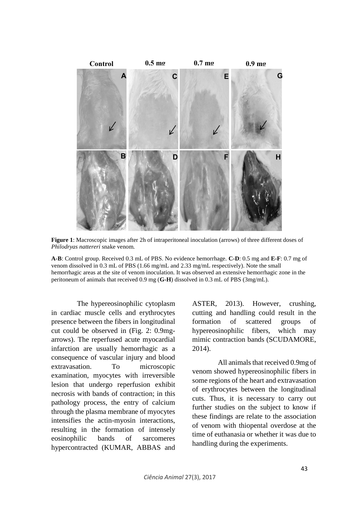

**Figure 1**: Macroscopic images after 2h of intraperitoneal inoculation (arrows) of three different doses of *Philodryas nattereri* snake venom.

**A-B**: Control group. Received 0.3 mL of PBS. No evidence hemorrhage. **C-D**: 0.5 mg and **E-F**: 0.7 mg of venom dissolved in 0.3 mL of PBS (1.66 mg/mL and 2.33 mg/mL respectively). Note the small hemorrhagic areas at the site of venom inoculation. It was observed an extensive hemorrhagic zone in the peritoneum of animals that received 0.9 mg (**G-H**) dissolved in 0.3 mL of PBS (3mg/mL).

The hypereosinophilic cytoplasm in cardiac muscle cells and erythrocytes presence between the fibers in longitudinal cut could be observed in (Fig. 2: 0.9mgarrows). The reperfused acute myocardial infarction are usually hemorrhagic as a consequence of vascular injury and blood extravasation. To microscopic examination, myocytes with irreversible lesion that undergo reperfusion exhibit necrosis with bands of contraction; in this pathology process, the entry of calcium through the plasma membrane of myocytes intensifies the actin-myosin interactions, resulting in the formation of intensely eosinophilic bands of sarcomeres hypercontracted (KUMAR, ABBAS and

ASTER, 2013). However, crushing, cutting and handling could result in the formation of scattered groups of hypereosinophilic fibers, which may mimic contraction bands (SCUDAMORE, 2014).

All animals that received 0.9mg of venom showed hypereosinophilic fibers in some regions of the heart and extravasation of erythrocytes between the longitudinal cuts. Thus, it is necessary to carry out further studies on the subject to know if these findings are relate to the association of venom with thiopental overdose at the time of euthanasia or whether it was due to handling during the experiments.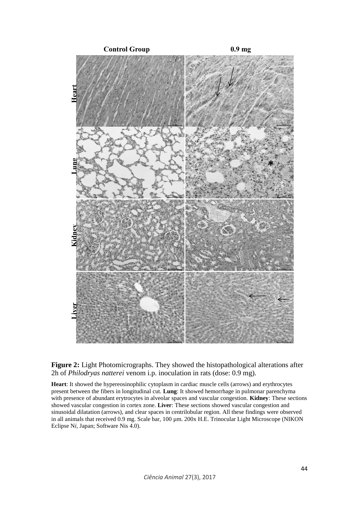

**Figure 2:** Light Photomicrographs. They showed the histopathological alterations after 2h of *Philodryas natterei* venom i.p. inoculation in rats (dose: 0.9 mg).

**Heart**: It showed the hypereosinophilic cytoplasm in cardiac muscle cells (arrows) and erythrocytes present between the fibers in longitudinal cut. **Lung**: It showed hemorrhage in pulmonar parenchyma with presence of abundant erytrocytes in alveolar spaces and vascular congestion. **Kidney**: These sections showed vascular congestion in cortex zone. **Liver**: These sections showed vascular congestion and sinusoidal dilatation (arrows), and clear spaces in centrilobular region. All these findings were observed in all animals that received 0.9 mg. Scale bar, 100 µm. 200x H.E. Trinocular Light Microscope (NIKON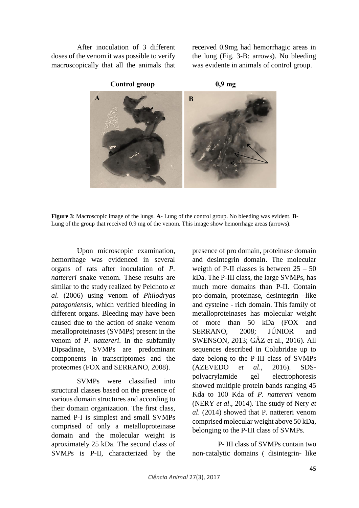After inoculation of 3 different doses of the venom it was possible to verify macroscopically that all the animals that received 0.9mg had hemorrhagic areas in the lung (Fig. 3-B: arrows). No bleeding was evidente in animals of control group.



**Figure 3**: Macroscopic image of the lungs. **A**- Lung of the control group. No bleeding was evident. **B**-Lung of the group that received 0.9 mg of the venom. This image show hemorrhage areas (arrows).

Upon microscopic examination, hemorrhage was evidenced in several organs of rats after inoculation of *P. nattereri* snake venom. These results are similar to the study realized by Peichoto *et al*. (2006) using venom of *Philodryas patagoniensis*, which verified bleeding in different organs. Bleeding may have been caused due to the action of snake venom metalloproteinases (SVMPs) present in the venom of *P. nattereri*. In the subfamily Dipsadinae, SVMPs are predominant components in transcriptomes and the proteomes (FOX and SERRANO, 2008).

SVMPs were classified into structural classes based on the presence of various domain structures and according to their domain organization. The first class, named P-I is simplest and small SVMPs comprised of only a metalloproteinase domain and the molecular weight is aproximately 25 kDa. The second class of SVMPs is P-II, characterized by the

presence of pro domain, proteinase domain and desintegrin domain. The molecular weigth of P-II classes is between  $25 - 50$ kDa. The P-III class, the large SVMPs, has much more domains than P-II. Contain pro-domain, proteinase, desintegrin –like and cysteine - rich domain. This family of metalloproteinases has molecular weight of more than 50 kDa (FOX and SERRANO, 2008; JÚNIOR and SWENSON, 2013; GÂZ et al., 2016). All sequences described in Colubridae up to date belong to the P-III class of SVMPs (AZEVEDO *et al*., 2016). SDSpolyacrylamide gel electrophoresis showed multiple protein bands ranging 45 Kda to 100 Kda of *P. nattereri* venom (NERY *et al*., 2014). The study of Nery *et al*. (2014) showed that P. nattereri venom comprised molecular weight above 50 kDa, belonging to the P-III class of SVMPs.

P- III class of SVMPs contain two non-catalytic domains ( disintegrin- like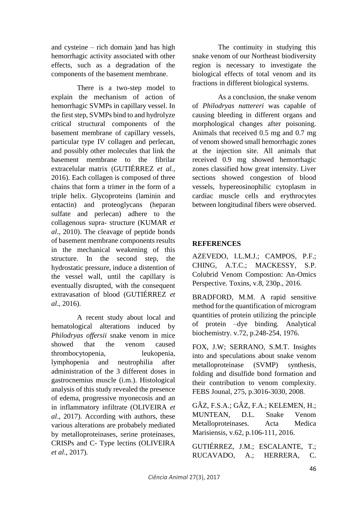and cysteine – rich domain )and has high hemorrhagic activity associated with other effects, such as a degradation of the components of the basement membrane.

There is a two-step model to explain the mechanism of action of hemorrhagic SVMPs in capillary vessel. In the first step, SVMPs bind to and hydrolyze critical structural components of the basement membrane of capillary vessels, particular type IV collagen and perlecan, and possibly other molecules that link the basement membrane to the fibrilar extracelular matrix (GUTIÉRREZ *et al.,* 2016). Each collagen is composed of three chains that form a trimer in the form of a triple helix. Glycoproteins (laminin and entactin) and proteoglycans (heparan sulfate and perlecan) adhere to the collagenous supra- structure (KUMAR *et al*., 2010). The cleavage of peptide bonds of basement membrane components results in the mechanical weakening of this structure. In the second step, the hydrostatic pressure, induce a distention of the vessel wall, until the capillary is eventually disrupted, with the consequent extravasation of blood (GUTIÉRREZ *et al*., 2016).

A recent study about local and hematological alterations induced by *Philodryas offersii* snake venom in mice showed that the venom caused thrombocytopenia, leukopenia, lymphopenia and neutrophilia after administration of the 3 different doses in gastrocnemius muscle (i.m.). Histological analysis of this study revealed the presence of edema, progressive myonecosis and an in inflammatory infiltrate (OLIVEIRA *et al*., 2017). According with authors, these various alterations are probabely mediated by metalloproteinases, serine proteinases, CRISPs and C- Type lectins (OLIVEIRA *et al*., 2017).

The continuity in studying this snake venom of our Northeast biodiversity region is necessary to investigate the biological effects of total venom and its fractions in different biological systems.

As a conclusion, the snake venom of *Philodryas nattereri* was capable of causing bleeding in different organs and morphological changes after poisoning. Animals that received 0.5 mg and 0.7 mg of venom showed small hemorrhagic zones at the injection site. All animals that received 0.9 mg showed hemorrhagic zones classified how great intensity. Liver sections showed congestion of blood vessels, hypereosinophilic cytoplasm in cardiac muscle cells and erythrocytes between longitudinal fibers were observed.

# **REFERENCES**

AZEVEDO, I.L.M.J.; CAMPOS, P.F.; CHING, A.T.C.; MACKESSY, S.P. Colubrid Venom Compostion: An-Omics Perspective. Toxins, v.8, 230p., 2016.

BRADFORD, M.M. A rapid sensitive method for the quantification of microgram quantities of protein utilizing the principle of protein –dye binding. Analytical biochemistry. v.72, p.248-254, 1976.

FOX, J.W; SERRANO, S.M.T. Insights into and speculations about snake venom metalloproteinase (SVMP) synthesis, folding and disulfide bond formation and their contribution to venom complexity. FEBS Jounal, 275, p.3016-3030, 2008.

GÂZ, F.S.A.; GÂZ, F.A.; KELEMEN, H.; MUNTEAN, D.L. Snake Venom Metalloproteinases. Acta Medica Marisiensis, v.62, p.106-111, 2016.

GUTIÉRREZ, J.M.; ESCALANTE, T.; RUCAVADO, A.; HERRERA, C.